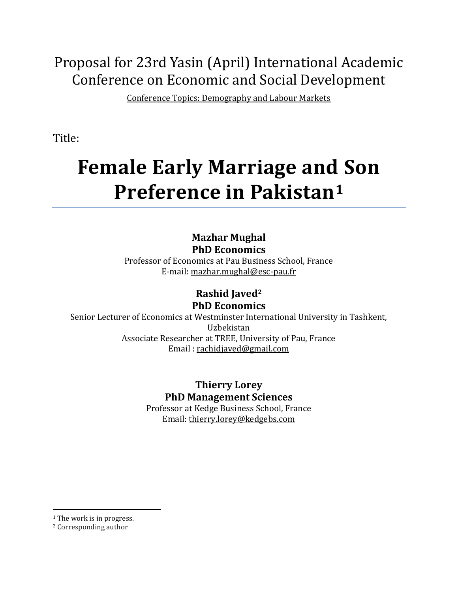# Proposal for 23rd Yasin (April) International Academic Conference on Economic and Social Development

Conference Topics: Demography and Labour Markets

Title:

# **Female Early Marriage and Son Preference in Pakistan<sup>1</sup>**

### **Mazhar Mughal PhD Economics**

Professor of Economics at Pau Business School, France E-mail: [mazhar.mughal@esc-pau.fr](mailto:mazhar.mughal@esc-pau.fr)

## **Rashid Javed<sup>2</sup> PhD Economics**

Senior Lecturer of Economics at Westminster International University in Tashkent, Uzbekistan Associate Researcher at TREE, University of Pau, France Email : [rachidjaved@gmail.com](mailto:rachidjaved@gmail.com)

> **Thierry Lorey PhD Management Sciences**

Professor at Kedge Business School, France Email[: thierry.lorey@kedgebs.com](mailto:thierry.lorey@kedgebs.com)

 $\overline{a}$ <sup>1</sup> The work is in progress.

<sup>2</sup> Corresponding author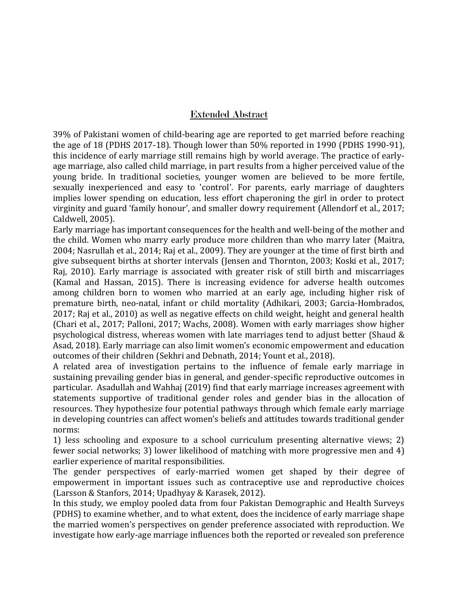#### Extended Abstract

39% of Pakistani women of child-bearing age are reported to get married before reaching the age of 18 (PDHS 2017-18). Though lower than 50% reported in 1990 (PDHS 1990-91), this incidence of early marriage still remains high by world average. The practice of earlyage marriage, also called child marriage, in part results from a higher perceived value of the young bride. In traditional societies, younger women are believed to be more fertile, sexually inexperienced and easy to 'control'. For parents, early marriage of daughters implies lower spending on education, less effort chaperoning the girl in order to protect virginity and guard 'family honour', and smaller dowry requirement (Allendorf et al., 2017; Caldwell, 2005).

Early marriage has important consequences for the health and well-being of the mother and the child. Women who marry early produce more children than who marry later (Maitra, 2004; Nasrullah et al., 2014; Raj et al., 2009). They are younger at the time of first birth and give subsequent births at shorter intervals (Jensen and Thornton, 2003; Koski et al., 2017; Raj, 2010). Early marriage is associated with greater risk of still birth and miscarriages (Kamal and Hassan, 2015). There is increasing evidence for adverse health outcomes among children born to women who married at an early age, including higher risk of premature birth, neo-natal, infant or child mortality (Adhikari, 2003; Garcia-Hombrados, 2017; Raj et al., 2010) as well as negative effects on child weight, height and general health (Chari et al., 2017; Palloni, 2017; Wachs, 2008). Women with early marriages show higher psychological distress, whereas women with late marriages tend to adjust better (Shaud & Asad, 2018). Early marriage can also limit women's economic empowerment and education outcomes of their children (Sekhri and Debnath, 2014; Yount et al., 2018).

A related area of investigation pertains to the influence of female early marriage in sustaining prevailing gender bias in general, and gender-specific reproductive outcomes in particular. Asadullah and Wahhaj (2019) find that early marriage increases agreement with statements supportive of traditional gender roles and gender bias in the allocation of resources. They hypothesize four potential pathways through which female early marriage in developing countries can affect women's beliefs and attitudes towards traditional gender norms:

1) less schooling and exposure to a school curriculum presenting alternative views; 2) fewer social networks; 3) lower likelihood of matching with more progressive men and 4) earlier experience of marital responsibilities.

The gender perspectives of early-married women get shaped by their degree of empowerment in important issues such as contraceptive use and reproductive choices (Larsson & Stanfors, 2014; Upadhyay & Karasek, 2012).

In this study, we employ pooled data from four Pakistan Demographic and Health Surveys (PDHS) to examine whether, and to what extent, does the incidence of early marriage shape the married women's perspectives on gender preference associated with reproduction. We investigate how early-age marriage influences both the reported or revealed son preference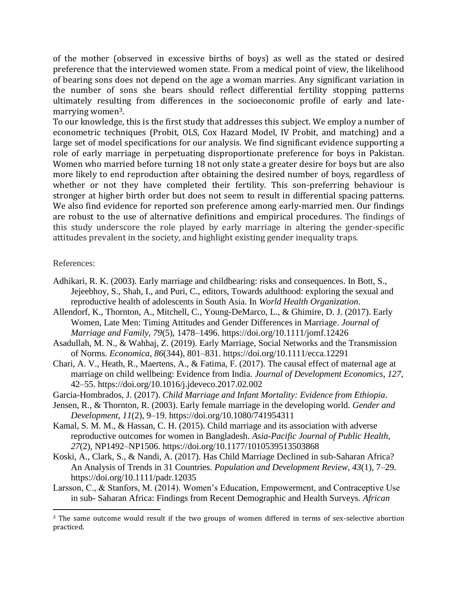of the mother (observed in excessive births of boys) as well as the stated or desired preference that the interviewed women state. From a medical point of view, the likelihood of bearing sons does not depend on the age a woman marries. Any significant variation in the number of sons she bears should reflect differential fertility stopping patterns ultimately resulting from differences in the socioeconomic profile of early and latemarrying women3.

To our knowledge, this is the first study that addresses this subject. We employ a number of econometric techniques (Probit, OLS, Cox Hazard Model, IV Probit, and matching) and a large set of model specifications for our analysis. We find significant evidence supporting a role of early marriage in perpetuating disproportionate preference for boys in Pakistan. Women who married before turning 18 not only state a greater desire for boys but are also more likely to end reproduction after obtaining the desired number of boys, regardless of whether or not they have completed their fertility. This son-preferring behaviour is stronger at higher birth order but does not seem to result in differential spacing patterns. We also find evidence for reported son preference among early-married men. Our findings are robust to the use of alternative definitions and empirical procedures. The findings of this study underscore the role played by early marriage in altering the gender-specific attitudes prevalent in the society, and highlight existing gender inequality traps.

#### References:

 $\overline{a}$ 

- Adhikari, R. K. (2003). Early marriage and childbearing: risks and consequences. In Bott, S., Jejeebhoy, S., Shah, I., and Puri, C., editors, Towards adulthood: exploring the sexual and reproductive health of adolescents in South Asia. In *World Health Organization*.
- Allendorf, K., Thornton, A., Mitchell, C., Young-DeMarco, L., & Ghimire, D. J. (2017). Early Women, Late Men: Timing Attitudes and Gender Differences in Marriage. *Journal of Marriage and Family*, *79*(5), 1478–1496. https://doi.org/10.1111/jomf.12426
- Asadullah, M. N., & Wahhaj, Z. (2019). Early Marriage, Social Networks and the Transmission of Norms. *Economica*, *86*(344), 801–831. https://doi.org/10.1111/ecca.12291
- Chari, A. V., Heath, R., Maertens, A., & Fatima, F. (2017). The causal effect of maternal age at marriage on child wellbeing: Evidence from India. *Journal of Development Economics*, *127*, 42–55. https://doi.org/10.1016/j.jdeveco.2017.02.002
- Garcia-Hombrados, J. (2017). *Child Marriage and Infant Mortality: Evidence from Ethiopia*.
- Jensen, R., & Thornton, R. (2003). Early female marriage in the developing world. *Gender and Development*, *11*(2), 9–19. https://doi.org/10.1080/741954311
- Kamal, S. M. M., & Hassan, C. H. (2015). Child marriage and its association with adverse reproductive outcomes for women in Bangladesh. *Asia-Pacific Journal of Public Health*, *27*(2), NP1492–NP1506. https://doi.org/10.1177/1010539513503868
- Koski, A., Clark, S., & Nandi, A. (2017). Has Child Marriage Declined in sub-Saharan Africa? An Analysis of Trends in 31 Countries. *Population and Development Review*, *43*(1), 7–29. https://doi.org/10.1111/padr.12035
- Larsson, C., & Stanfors, M. (2014). Women's Education, Empowerment, and Contraceptive Use in sub- Saharan Africa: Findings from Recent Demographic and Health Surveys. *African*

<sup>3</sup> The same outcome would result if the two groups of women differed in terms of sex-selective abortion practiced.